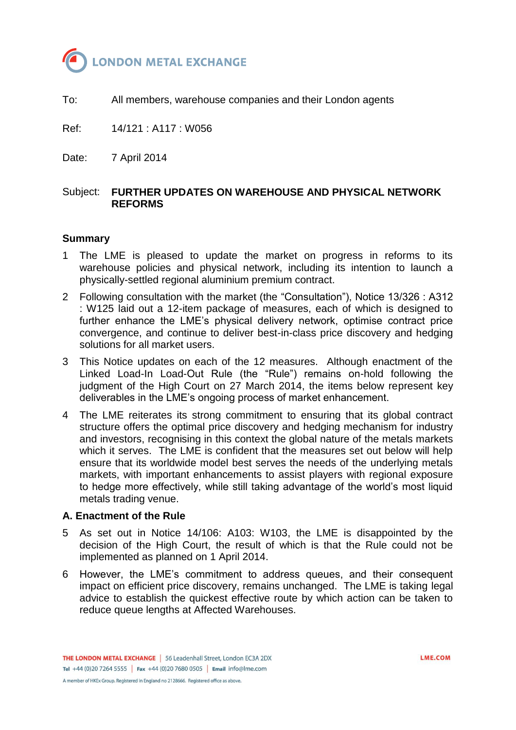

To: All members, warehouse companies and their London agents

Ref: 14/121 : A117 : W056

Date: 7 April 2014

# Subject: **FURTHER UPDATES ON WAREHOUSE AND PHYSICAL NETWORK REFORMS**

#### **Summary**

- 1 The LME is pleased to update the market on progress in reforms to its warehouse policies and physical network, including its intention to launch a physically-settled regional aluminium premium contract.
- 2 Following consultation with the market (the "Consultation"), Notice 13/326 : A312 : W125 laid out a 12-item package of measures, each of which is designed to further enhance the LME's physical delivery network, optimise contract price convergence, and continue to deliver best-in-class price discovery and hedging solutions for all market users.
- 3 This Notice updates on each of the 12 measures. Although enactment of the Linked Load-In Load-Out Rule (the "Rule") remains on-hold following the judgment of the High Court on 27 March 2014, the items below represent key deliverables in the LME's ongoing process of market enhancement.
- 4 The LME reiterates its strong commitment to ensuring that its global contract structure offers the optimal price discovery and hedging mechanism for industry and investors, recognising in this context the global nature of the metals markets which it serves. The LME is confident that the measures set out below will help ensure that its worldwide model best serves the needs of the underlying metals markets, with important enhancements to assist players with regional exposure to hedge more effectively, while still taking advantage of the world's most liquid metals trading venue.

#### **A. Enactment of the Rule**

- 5 As set out in Notice 14/106: A103: W103, the LME is disappointed by the decision of the High Court, the result of which is that the Rule could not be implemented as planned on 1 April 2014.
- 6 However, the LME's commitment to address queues, and their consequent impact on efficient price discovery, remains unchanged. The LME is taking legal advice to establish the quickest effective route by which action can be taken to reduce queue lengths at Affected Warehouses.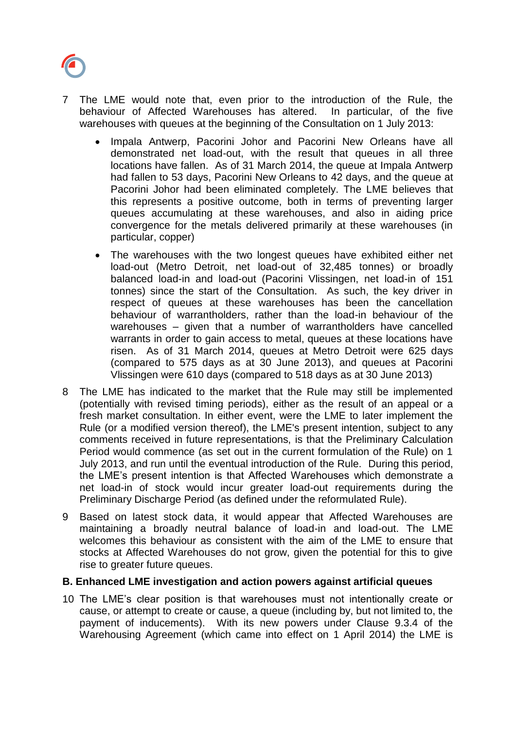

- 7 The LME would note that, even prior to the introduction of the Rule, the behaviour of Affected Warehouses has altered. In particular, of the five warehouses with queues at the beginning of the Consultation on 1 July 2013:
	- Impala Antwerp, Pacorini Johor and Pacorini New Orleans have all demonstrated net load-out, with the result that queues in all three locations have fallen. As of 31 March 2014, the queue at Impala Antwerp had fallen to 53 days, Pacorini New Orleans to 42 days, and the queue at Pacorini Johor had been eliminated completely. The LME believes that this represents a positive outcome, both in terms of preventing larger queues accumulating at these warehouses, and also in aiding price convergence for the metals delivered primarily at these warehouses (in particular, copper)
	- The warehouses with the two longest queues have exhibited either net load-out (Metro Detroit, net load-out of 32,485 tonnes) or broadly balanced load-in and load-out (Pacorini Vlissingen, net load-in of 151 tonnes) since the start of the Consultation. As such, the key driver in respect of queues at these warehouses has been the cancellation behaviour of warrantholders, rather than the load-in behaviour of the warehouses – given that a number of warrantholders have cancelled warrants in order to gain access to metal, queues at these locations have risen. As of 31 March 2014, queues at Metro Detroit were 625 days (compared to 575 days as at 30 June 2013), and queues at Pacorini Vlissingen were 610 days (compared to 518 days as at 30 June 2013)
- 8 The LME has indicated to the market that the Rule may still be implemented (potentially with revised timing periods), either as the result of an appeal or a fresh market consultation. In either event, were the LME to later implement the Rule (or a modified version thereof), the LME's present intention, subject to any comments received in future representations, is that the Preliminary Calculation Period would commence (as set out in the current formulation of the Rule) on 1 July 2013, and run until the eventual introduction of the Rule. During this period, the LME's present intention is that Affected Warehouses which demonstrate a net load-in of stock would incur greater load-out requirements during the Preliminary Discharge Period (as defined under the reformulated Rule).
- 9 Based on latest stock data, it would appear that Affected Warehouses are maintaining a broadly neutral balance of load-in and load-out. The LME welcomes this behaviour as consistent with the aim of the LME to ensure that stocks at Affected Warehouses do not grow, given the potential for this to give rise to greater future queues.

#### **B. Enhanced LME investigation and action powers against artificial queues**

10 The LME's clear position is that warehouses must not intentionally create or cause, or attempt to create or cause, a queue (including by, but not limited to, the payment of inducements). With its new powers under Clause 9.3.4 of the Warehousing Agreement (which came into effect on 1 April 2014) the LME is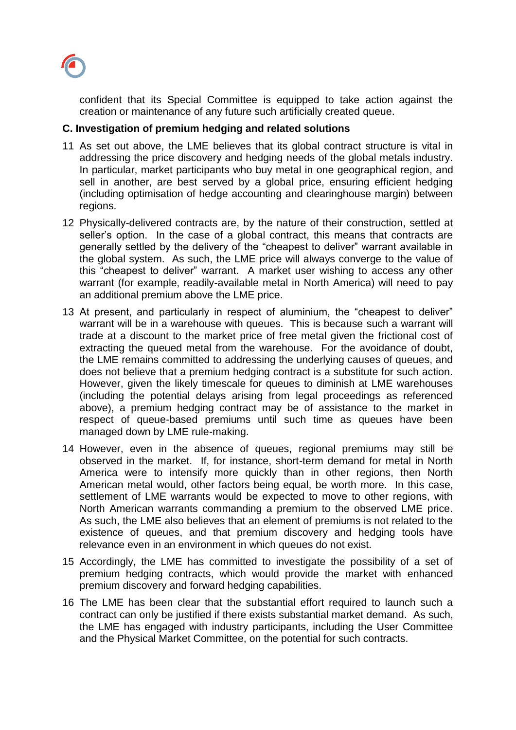

confident that its Special Committee is equipped to take action against the creation or maintenance of any future such artificially created queue.

# **C. Investigation of premium hedging and related solutions**

- 11 As set out above, the LME believes that its global contract structure is vital in addressing the price discovery and hedging needs of the global metals industry. In particular, market participants who buy metal in one geographical region, and sell in another, are best served by a global price, ensuring efficient hedging (including optimisation of hedge accounting and clearinghouse margin) between regions.
- 12 Physically-delivered contracts are, by the nature of their construction, settled at seller's option. In the case of a global contract, this means that contracts are generally settled by the delivery of the "cheapest to deliver" warrant available in the global system. As such, the LME price will always converge to the value of this "cheapest to deliver" warrant. A market user wishing to access any other warrant (for example, readily-available metal in North America) will need to pay an additional premium above the LME price.
- 13 At present, and particularly in respect of aluminium, the "cheapest to deliver" warrant will be in a warehouse with queues. This is because such a warrant will trade at a discount to the market price of free metal given the frictional cost of extracting the queued metal from the warehouse. For the avoidance of doubt, the LME remains committed to addressing the underlying causes of queues, and does not believe that a premium hedging contract is a substitute for such action. However, given the likely timescale for queues to diminish at LME warehouses (including the potential delays arising from legal proceedings as referenced above), a premium hedging contract may be of assistance to the market in respect of queue-based premiums until such time as queues have been managed down by LME rule-making.
- 14 However, even in the absence of queues, regional premiums may still be observed in the market. If, for instance, short-term demand for metal in North America were to intensify more quickly than in other regions, then North American metal would, other factors being equal, be worth more. In this case, settlement of LME warrants would be expected to move to other regions, with North American warrants commanding a premium to the observed LME price. As such, the LME also believes that an element of premiums is not related to the existence of queues, and that premium discovery and hedging tools have relevance even in an environment in which queues do not exist.
- 15 Accordingly, the LME has committed to investigate the possibility of a set of premium hedging contracts, which would provide the market with enhanced premium discovery and forward hedging capabilities.
- 16 The LME has been clear that the substantial effort required to launch such a contract can only be justified if there exists substantial market demand. As such, the LME has engaged with industry participants, including the User Committee and the Physical Market Committee, on the potential for such contracts.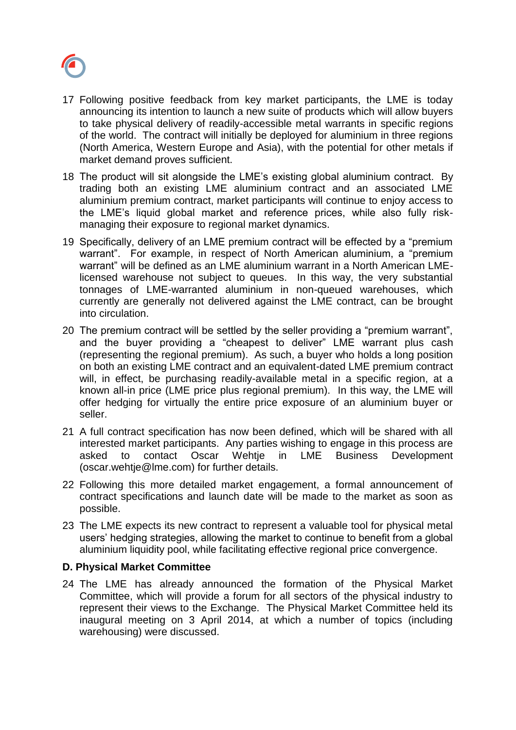

- 17 Following positive feedback from key market participants, the LME is today announcing its intention to launch a new suite of products which will allow buyers to take physical delivery of readily-accessible metal warrants in specific regions of the world. The contract will initially be deployed for aluminium in three regions (North America, Western Europe and Asia), with the potential for other metals if market demand proves sufficient.
- 18 The product will sit alongside the LME's existing global aluminium contract. By trading both an existing LME aluminium contract and an associated LME aluminium premium contract, market participants will continue to enjoy access to the LME's liquid global market and reference prices, while also fully riskmanaging their exposure to regional market dynamics.
- 19 Specifically, delivery of an LME premium contract will be effected by a "premium warrant". For example, in respect of North American aluminium, a "premium warrant" will be defined as an LME aluminium warrant in a North American LMElicensed warehouse not subject to queues. In this way, the very substantial tonnages of LME-warranted aluminium in non-queued warehouses, which currently are generally not delivered against the LME contract, can be brought into circulation.
- 20 The premium contract will be settled by the seller providing a "premium warrant", and the buyer providing a "cheapest to deliver" LME warrant plus cash (representing the regional premium). As such, a buyer who holds a long position on both an existing LME contract and an equivalent-dated LME premium contract will, in effect, be purchasing readily-available metal in a specific region, at a known all-in price (LME price plus regional premium). In this way, the LME will offer hedging for virtually the entire price exposure of an aluminium buyer or seller.
- 21 A full contract specification has now been defined, which will be shared with all interested market participants. Any parties wishing to engage in this process are asked to contact Oscar Wehtje in LME Business Development (oscar.wehtje@lme.com) for further details.
- 22 Following this more detailed market engagement, a formal announcement of contract specifications and launch date will be made to the market as soon as possible.
- 23 The LME expects its new contract to represent a valuable tool for physical metal users' hedging strategies, allowing the market to continue to benefit from a global aluminium liquidity pool, while facilitating effective regional price convergence.

# **D. Physical Market Committee**

24 The LME has already announced the formation of the Physical Market Committee, which will provide a forum for all sectors of the physical industry to represent their views to the Exchange. The Physical Market Committee held its inaugural meeting on 3 April 2014, at which a number of topics (including warehousing) were discussed.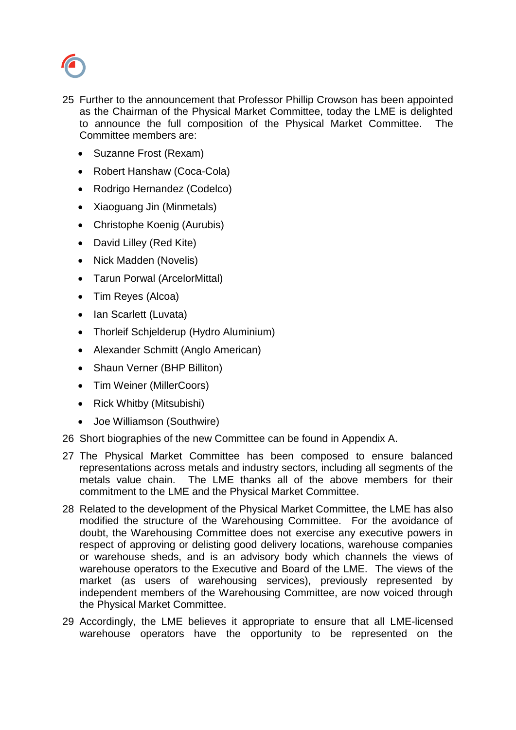

- 25 Further to the announcement that Professor Phillip Crowson has been appointed as the Chairman of the Physical Market Committee, today the LME is delighted to announce the full composition of the Physical Market Committee. The Committee members are:
	- Suzanne Frost (Rexam)
	- Robert Hanshaw (Coca-Cola)
	- Rodrigo Hernandez (Codelco)
	- Xiaoguang Jin (Minmetals)
	- Christophe Koenig (Aurubis)
	- David Lilley (Red Kite)
	- Nick Madden (Novelis)
	- Tarun Porwal (ArcelorMittal)
	- Tim Reyes (Alcoa)
	- Ian Scarlett (Luvata)
	- Thorleif Schjelderup (Hydro Aluminium)
	- Alexander Schmitt (Anglo American)
	- Shaun Verner (BHP Billiton)
	- Tim Weiner (MillerCoors)
	- Rick Whitby (Mitsubishi)
	- Joe Williamson (Southwire)
- 26 Short biographies of the new Committee can be found in Appendix A.
- 27 The Physical Market Committee has been composed to ensure balanced representations across metals and industry sectors, including all segments of the metals value chain. The LME thanks all of the above members for their commitment to the LME and the Physical Market Committee.
- 28 Related to the development of the Physical Market Committee, the LME has also modified the structure of the Warehousing Committee. For the avoidance of doubt, the Warehousing Committee does not exercise any executive powers in respect of approving or delisting good delivery locations, warehouse companies or warehouse sheds, and is an advisory body which channels the views of warehouse operators to the Executive and Board of the LME. The views of the market (as users of warehousing services), previously represented by independent members of the Warehousing Committee, are now voiced through the Physical Market Committee.
- 29 Accordingly, the LME believes it appropriate to ensure that all LME-licensed warehouse operators have the opportunity to be represented on the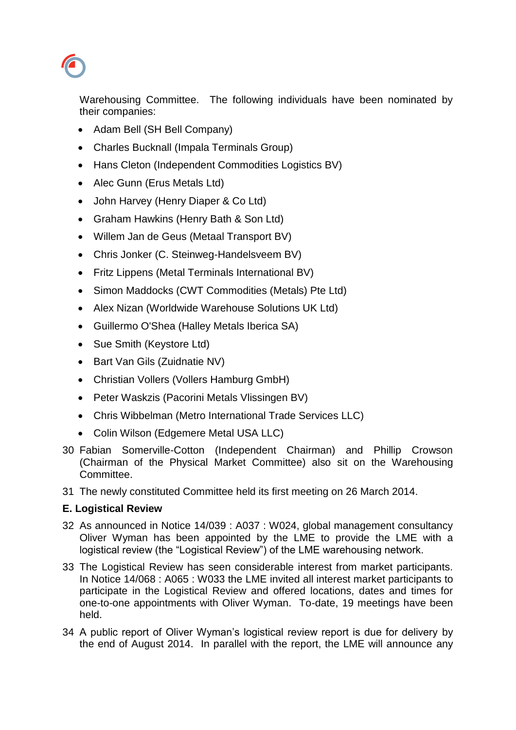Warehousing Committee. The following individuals have been nominated by their companies:

- Adam Bell (SH Bell Company)
- Charles Bucknall (Impala Terminals Group)
- Hans Cleton (Independent Commodities Logistics BV)
- Alec Gunn (Erus Metals Ltd)
- John Harvey (Henry Diaper & Co Ltd)
- Graham Hawkins (Henry Bath & Son Ltd)
- Willem Jan de Geus (Metaal Transport BV)
- Chris Jonker (C. Steinweg-Handelsveem BV)
- Fritz Lippens (Metal Terminals International BV)
- Simon Maddocks (CWT Commodities (Metals) Pte Ltd)
- Alex Nizan (Worldwide Warehouse Solutions UK Ltd)
- Guillermo O'Shea (Halley Metals Iberica SA)
- Sue Smith (Keystore Ltd)
- Bart Van Gils (Zuidnatie NV)
- Christian Vollers (Vollers Hamburg GmbH)
- Peter Waskzis (Pacorini Metals Vlissingen BV)
- Chris Wibbelman (Metro International Trade Services LLC)
- Colin Wilson (Edgemere Metal USA LLC)
- 30 Fabian Somerville-Cotton (Independent Chairman) and Phillip Crowson (Chairman of the Physical Market Committee) also sit on the Warehousing Committee.
- 31 The newly constituted Committee held its first meeting on 26 March 2014.

# **E. Logistical Review**

- 32 As announced in Notice 14/039 : A037 : W024, global management consultancy Oliver Wyman has been appointed by the LME to provide the LME with a logistical review (the "Logistical Review") of the LME warehousing network.
- 33 The Logistical Review has seen considerable interest from market participants. In Notice 14/068 : A065 : W033 the LME invited all interest market participants to participate in the Logistical Review and offered locations, dates and times for one-to-one appointments with Oliver Wyman. To-date, 19 meetings have been held.
- 34 A public report of Oliver Wyman's logistical review report is due for delivery by the end of August 2014. In parallel with the report, the LME will announce any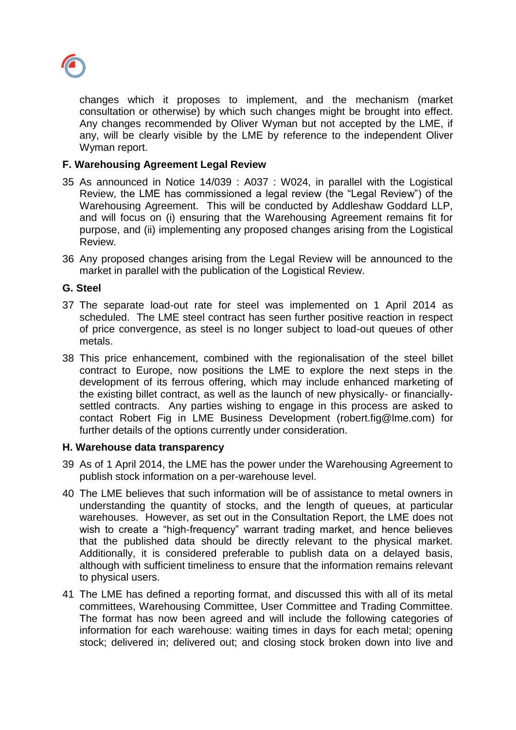

changes which it proposes to implement, and the mechanism (market consultation or otherwise) by which such changes might be brought into effect. Any changes recommended by Oliver Wyman but not accepted by the LME, if any, will be clearly visible by the LME by reference to the independent Oliver Wyman report.

#### **F. Warehousing Agreement Legal Review**

- 35 As announced in Notice 14/039 : A037 : W024, in parallel with the Logistical Review, the LME has commissioned a legal review (the "Legal Review") of the Warehousing Agreement. This will be conducted by Addleshaw Goddard LLP, and will focus on (i) ensuring that the Warehousing Agreement remains fit for purpose, and (ii) implementing any proposed changes arising from the Logistical Review.
- 36 Any proposed changes arising from the Legal Review will be announced to the market in parallel with the publication of the Logistical Review.

#### **G. Steel**

- 37 The separate load-out rate for steel was implemented on 1 April 2014 as scheduled. The LME steel contract has seen further positive reaction in respect of price convergence, as steel is no longer subject to load-out queues of other metals.
- 38 This price enhancement, combined with the regionalisation of the steel billet contract to Europe, now positions the LME to explore the next steps in the development of its ferrous offering, which may include enhanced marketing of the existing billet contract, as well as the launch of new physically- or financiallysettled contracts. Any parties wishing to engage in this process are asked to contact Robert Fig in LME Business Development (robert.fig@lme.com) for further details of the options currently under consideration.

#### **H. Warehouse data transparency**

- 39 As of 1 April 2014, the LME has the power under the Warehousing Agreement to publish stock information on a per-warehouse level.
- 40 The LME believes that such information will be of assistance to metal owners in understanding the quantity of stocks, and the length of queues, at particular warehouses. However, as set out in the Consultation Report, the LME does not wish to create a "high-frequency" warrant trading market, and hence believes that the published data should be directly relevant to the physical market. Additionally, it is considered preferable to publish data on a delayed basis, although with sufficient timeliness to ensure that the information remains relevant to physical users.
- 41 The LME has defined a reporting format, and discussed this with all of its metal committees, Warehousing Committee, User Committee and Trading Committee. The format has now been agreed and will include the following categories of information for each warehouse: waiting times in days for each metal; opening stock; delivered in; delivered out; and closing stock broken down into live and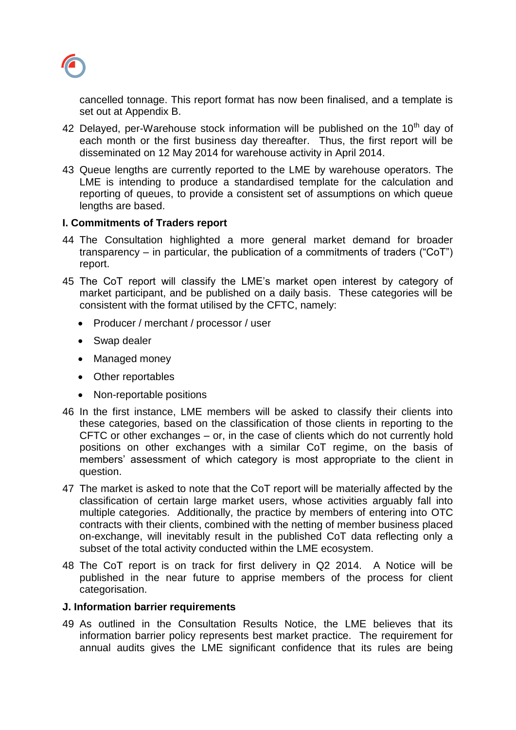

cancelled tonnage. This report format has now been finalised, and a template is set out at Appendix B.

- 42 Delayed, per-Warehouse stock information will be published on the 10<sup>th</sup> day of each month or the first business day thereafter. Thus, the first report will be disseminated on 12 May 2014 for warehouse activity in April 2014.
- 43 Queue lengths are currently reported to the LME by warehouse operators. The LME is intending to produce a standardised template for the calculation and reporting of queues, to provide a consistent set of assumptions on which queue lengths are based.

#### **I. Commitments of Traders report**

- 44 The Consultation highlighted a more general market demand for broader transparency – in particular, the publication of a commitments of traders ("CoT") report.
- 45 The CoT report will classify the LME's market open interest by category of market participant, and be published on a daily basis. These categories will be consistent with the format utilised by the CFTC, namely:
	- Producer / merchant / processor / user
	- Swap dealer
	- Managed money
	- Other reportables
	- Non-reportable positions
- 46 In the first instance, LME members will be asked to classify their clients into these categories, based on the classification of those clients in reporting to the CFTC or other exchanges – or, in the case of clients which do not currently hold positions on other exchanges with a similar CoT regime, on the basis of members' assessment of which category is most appropriate to the client in question.
- 47 The market is asked to note that the CoT report will be materially affected by the classification of certain large market users, whose activities arguably fall into multiple categories. Additionally, the practice by members of entering into OTC contracts with their clients, combined with the netting of member business placed on-exchange, will inevitably result in the published CoT data reflecting only a subset of the total activity conducted within the LME ecosystem.
- 48 The CoT report is on track for first delivery in Q2 2014. A Notice will be published in the near future to apprise members of the process for client categorisation.

#### **J. Information barrier requirements**

49 As outlined in the Consultation Results Notice, the LME believes that its information barrier policy represents best market practice. The requirement for annual audits gives the LME significant confidence that its rules are being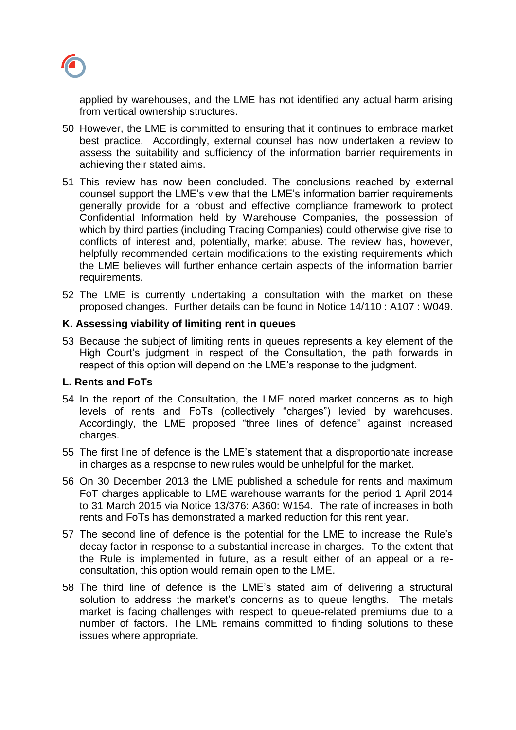

applied by warehouses, and the LME has not identified any actual harm arising from vertical ownership structures.

- 50 However, the LME is committed to ensuring that it continues to embrace market best practice. Accordingly, external counsel has now undertaken a review to assess the suitability and sufficiency of the information barrier requirements in achieving their stated aims.
- 51 This review has now been concluded. The conclusions reached by external counsel support the LME's view that the LME's information barrier requirements generally provide for a robust and effective compliance framework to protect Confidential Information held by Warehouse Companies, the possession of which by third parties (including Trading Companies) could otherwise give rise to conflicts of interest and, potentially, market abuse. The review has, however, helpfully recommended certain modifications to the existing requirements which the LME believes will further enhance certain aspects of the information barrier requirements.
- 52 The LME is currently undertaking a consultation with the market on these proposed changes. Further details can be found in Notice 14/110 : A107 : W049.

#### **K. Assessing viability of limiting rent in queues**

53 Because the subject of limiting rents in queues represents a key element of the High Court's judgment in respect of the Consultation, the path forwards in respect of this option will depend on the LME's response to the judgment.

# **L. Rents and FoTs**

- 54 In the report of the Consultation, the LME noted market concerns as to high levels of rents and FoTs (collectively "charges") levied by warehouses. Accordingly, the LME proposed "three lines of defence" against increased charges.
- 55 The first line of defence is the LME's statement that a disproportionate increase in charges as a response to new rules would be unhelpful for the market.
- 56 On 30 December 2013 the LME published a schedule for rents and maximum FoT charges applicable to LME warehouse warrants for the period 1 April 2014 to 31 March 2015 via Notice 13/376: A360: W154. The rate of increases in both rents and FoTs has demonstrated a marked reduction for this rent year.
- 57 The second line of defence is the potential for the LME to increase the Rule's decay factor in response to a substantial increase in charges. To the extent that the Rule is implemented in future, as a result either of an appeal or a reconsultation, this option would remain open to the LME.
- 58 The third line of defence is the LME's stated aim of delivering a structural solution to address the market's concerns as to queue lengths. The metals market is facing challenges with respect to queue-related premiums due to a number of factors. The LME remains committed to finding solutions to these issues where appropriate.